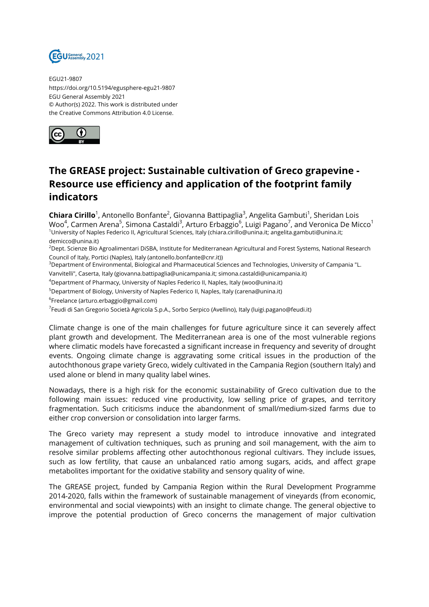

EGU21-9807 https://doi.org/10.5194/egusphere-egu21-9807 EGU General Assembly 2021 © Author(s) 2022. This work is distributed under the Creative Commons Attribution 4.0 License.



## **The GREASE project: Sustainable cultivation of Greco grapevine - Resource use efficiency and application of the footprint family indicators**

**Chiara Cirillo**<sup>1</sup>, Antonello Bonfante<sup>2</sup>, Giovanna Battipaglia<sup>3</sup>, Angelita Gambuti<sup>1</sup>, Sheridan Lois Woo $^4$ , Carmen Arena $^5$ , Simona Castaldi $^3$ , Arturo Erbaggio $^6$ , Luigi Pagano $^7$ , and Veronica De Micco $^1$ <sup>1</sup>University of Naples Federico II, Agricultural Sciences, Italy (chiara.cirillo@unina.it; angelita.gambuti@unina.it; demicco@unina.it)

<sup>2</sup>Dept. Scienze Bio Agroalimentari DiSBA, Institute for Mediterranean Agricultural and Forest Systems, National Research Council of Italy, Portici (Naples), Italy (antonello.bonfante@cnr.it))

<sup>3</sup>Department of Environmental, Biological and Pharmaceutical Sciences and Technologies, University of Campania "L.

Vanvitelli", Caserta, Italy (giovanna.battipaglia@unicampania.it; simona.castaldi@unicampania.it)

<sup>4</sup>Department of Pharmacy, University of Naples Federico II, Naples, Italy (woo@unina.it)

 $5$ Department of Biology, University of Naples Federico II, Naples, Italy (carena@unina.it)

6 Freelance (arturo.erbaggio@gmail.com)

<sup>7</sup>Feudi di San Gregorio Società Agricola S.p.A., Sorbo Serpico (Avellino), Italy (luigi.pagano@feudi.it)

Climate change is one of the main challenges for future agriculture since it can severely affect plant growth and development. The Mediterranean area is one of the most vulnerable regions where climatic models have forecasted a significant increase in frequency and severity of drought events. Ongoing climate change is aggravating some critical issues in the production of the autochthonous grape variety Greco, widely cultivated in the Campania Region (southern Italy) and used alone or blend in many quality label wines.

Nowadays, there is a high risk for the economic sustainability of Greco cultivation due to the following main issues: reduced vine productivity, low selling price of grapes, and territory fragmentation. Such criticisms induce the abandonment of small/medium-sized farms due to either crop conversion or consolidation into larger farms.

The Greco variety may represent a study model to introduce innovative and integrated management of cultivation techniques, such as pruning and soil management, with the aim to resolve similar problems affecting other autochthonous regional cultivars. They include issues, such as low fertility, that cause an unbalanced ratio among sugars, acids, and affect grape metabolites important for the oxidative stability and sensory quality of wine.

The GREASE project, funded by Campania Region within the Rural Development Programme 2014-2020, falls within the framework of sustainable management of vineyards (from economic, environmental and social viewpoints) with an insight to climate change. The general objective to improve the potential production of Greco concerns the management of major cultivation